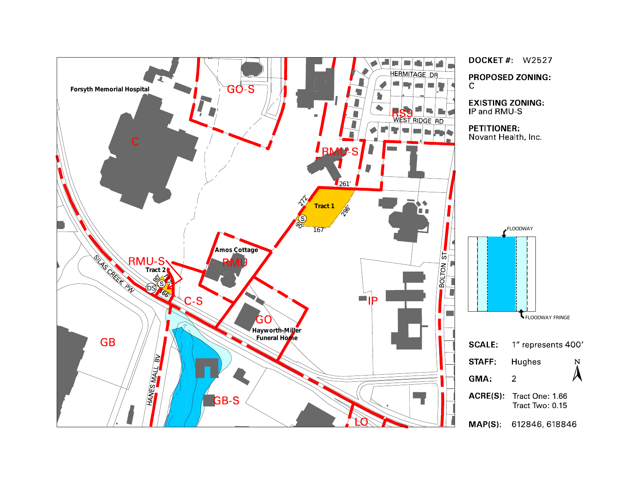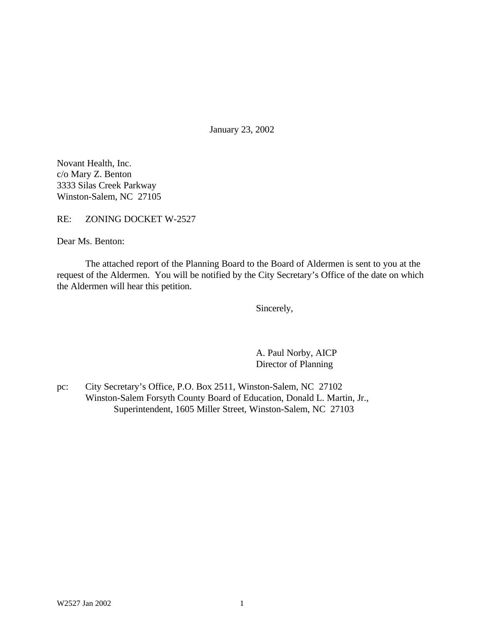January 23, 2002

Novant Health, Inc. c/o Mary Z. Benton 3333 Silas Creek Parkway Winston-Salem, NC 27105

RE: ZONING DOCKET W-2527

Dear Ms. Benton:

The attached report of the Planning Board to the Board of Aldermen is sent to you at the request of the Aldermen. You will be notified by the City Secretary's Office of the date on which the Aldermen will hear this petition.

Sincerely,

A. Paul Norby, AICP Director of Planning

pc: City Secretary's Office, P.O. Box 2511, Winston-Salem, NC 27102 Winston-Salem Forsyth County Board of Education, Donald L. Martin, Jr., Superintendent, 1605 Miller Street, Winston-Salem, NC 27103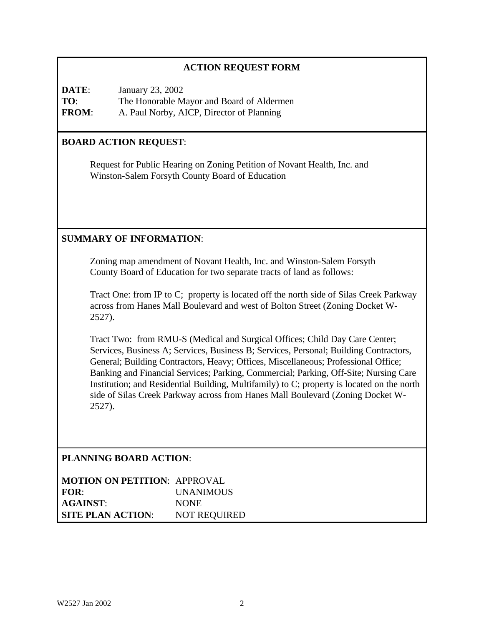# **ACTION REQUEST FORM**

**DATE**: January 23, 2002 **TO**: The Honorable Mayor and Board of Aldermen **FROM**: A. Paul Norby, AICP, Director of Planning

# **BOARD ACTION REQUEST**:

Request for Public Hearing on Zoning Petition of Novant Health, Inc. and Winston-Salem Forsyth County Board of Education

# **SUMMARY OF INFORMATION**:

Zoning map amendment of Novant Health, Inc. and Winston-Salem Forsyth County Board of Education for two separate tracts of land as follows:

Tract One: from IP to C; property is located off the north side of Silas Creek Parkway across from Hanes Mall Boulevard and west of Bolton Street (Zoning Docket W-2527).

Tract Two: from RMU-S (Medical and Surgical Offices; Child Day Care Center; Services, Business A; Services, Business B; Services, Personal; Building Contractors, General; Building Contractors, Heavy; Offices, Miscellaneous; Professional Office; Banking and Financial Services; Parking, Commercial; Parking, Off-Site; Nursing Care Institution; and Residential Building, Multifamily) to C; property is located on the north side of Silas Creek Parkway across from Hanes Mall Boulevard (Zoning Docket W-2527).

# **PLANNING BOARD ACTION**:

| <b>MOTION ON PETITION: APPROVAL</b> |                     |
|-------------------------------------|---------------------|
| FOR:                                | <i>UNANIMOUS</i>    |
| <b>AGAINST:</b>                     | <b>NONE</b>         |
| <b>SITE PLAN ACTION:</b>            | <b>NOT REQUIRED</b> |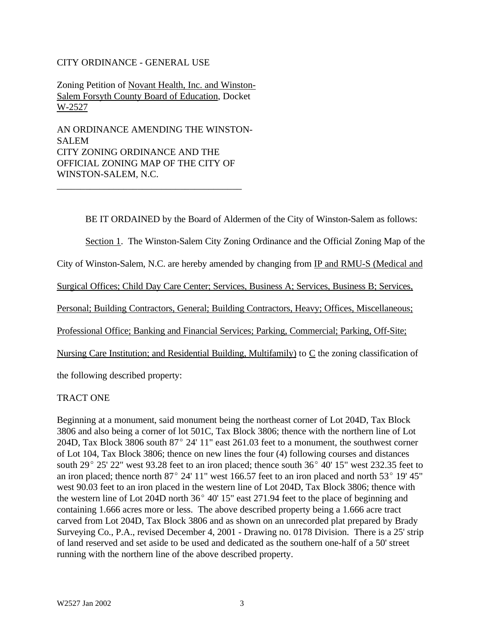### CITY ORDINANCE - GENERAL USE

Zoning Petition of Novant Health, Inc. and Winston-Salem Forsyth County Board of Education, Docket W-2527

AN ORDINANCE AMENDING THE WINSTON-SALEM CITY ZONING ORDINANCE AND THE OFFICIAL ZONING MAP OF THE CITY OF WINSTON-SALEM, N.C.

\_\_\_\_\_\_\_\_\_\_\_\_\_\_\_\_\_\_\_\_\_\_\_\_\_\_\_\_\_\_\_\_\_\_\_\_\_\_\_

BE IT ORDAINED by the Board of Aldermen of the City of Winston-Salem as follows:

Section 1. The Winston-Salem City Zoning Ordinance and the Official Zoning Map of the

City of Winston-Salem, N.C. are hereby amended by changing from IP and RMU-S (Medical and

Surgical Offices; Child Day Care Center; Services, Business A; Services, Business B; Services,

Personal; Building Contractors, General; Building Contractors, Heavy; Offices, Miscellaneous;

Professional Office; Banking and Financial Services; Parking, Commercial; Parking, Off-Site;

Nursing Care Institution; and Residential Building, Multifamily) to C the zoning classification of

the following described property:

### TRACT ONE

Beginning at a monument, said monument being the northeast corner of Lot 204D, Tax Block 3806 and also being a corner of lot 501C, Tax Block 3806; thence with the northern line of Lot 204D, Tax Block 3806 south  $87^{\circ}$  24' 11" east 261.03 feet to a monument, the southwest corner of Lot 104, Tax Block 3806; thence on new lines the four (4) following courses and distances south 29 $^{\circ}$  25' 22" west 93.28 feet to an iron placed; thence south 36 $^{\circ}$  40' 15" west 232.35 feet to an iron placed; thence north  $87^{\circ}$  24' 11" west 166.57 feet to an iron placed and north 53 $^{\circ}$  19' 45" west 90.03 feet to an iron placed in the western line of Lot 204D, Tax Block 3806; thence with the western line of Lot 204D north  $36^{\circ}$  40' 15" east 271.94 feet to the place of beginning and containing 1.666 acres more or less. The above described property being a 1.666 acre tract carved from Lot 204D, Tax Block 3806 and as shown on an unrecorded plat prepared by Brady Surveying Co., P.A., revised December 4, 2001 - Drawing no. 0178 Division. There is a 25' strip of land reserved and set aside to be used and dedicated as the southern one-half of a 50' street running with the northern line of the above described property.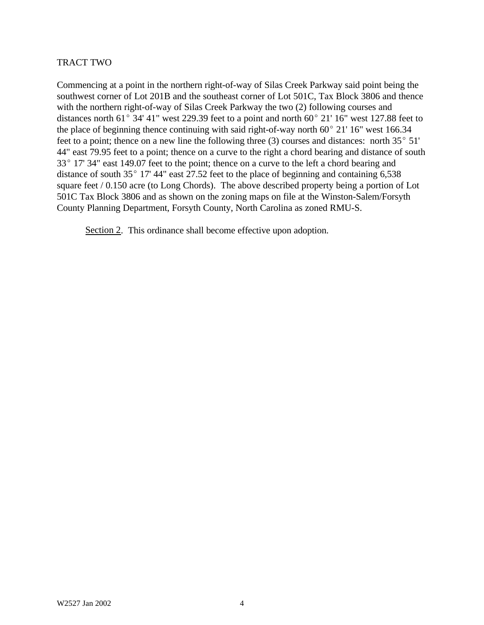### TRACT TWO

Commencing at a point in the northern right-of-way of Silas Creek Parkway said point being the southwest corner of Lot 201B and the southeast corner of Lot 501C, Tax Block 3806 and thence with the northern right-of-way of Silas Creek Parkway the two (2) following courses and distances north  $61^{\circ}$  34' 41" west 229.39 feet to a point and north  $60^{\circ}$  21' 16" west 127.88 feet to the place of beginning thence continuing with said right-of-way north  $60^{\circ}$  21' 16" west 166.34 feet to a point; thence on a new line the following three (3) courses and distances: north  $35^{\circ}$  51' 44" east 79.95 feet to a point; thence on a curve to the right a chord bearing and distance of south  $33^{\circ}$  17' 34" east 149.07 feet to the point; thence on a curve to the left a chord bearing and distance of south  $35^{\circ}$  17' 44" east 27.52 feet to the place of beginning and containing 6,538 square feet / 0.150 acre (to Long Chords). The above described property being a portion of Lot 501C Tax Block 3806 and as shown on the zoning maps on file at the Winston-Salem/Forsyth County Planning Department, Forsyth County, North Carolina as zoned RMU-S.

Section 2. This ordinance shall become effective upon adoption.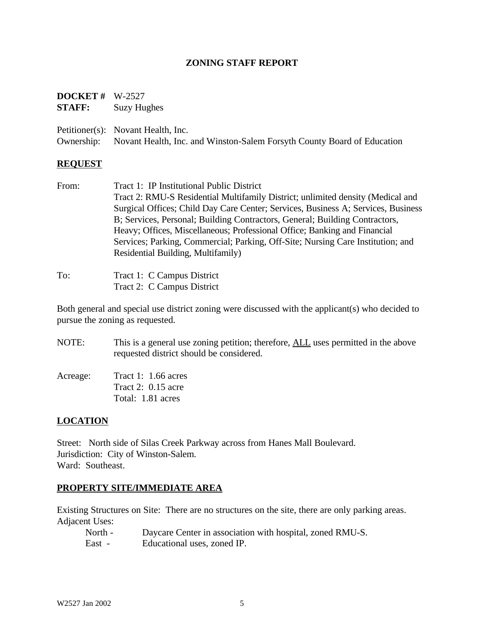### **ZONING STAFF REPORT**

# **DOCKET #** W-2527 **STAFF:** Suzy Hughes

Petitioner(s): Novant Health, Inc.

Ownership: Novant Health, Inc. and Winston-Salem Forsyth County Board of Education

### **REQUEST**

From: Tract 1: IP Institutional Public District Tract 2: RMU-S Residential Multifamily District; unlimited density (Medical and Surgical Offices; Child Day Care Center; Services, Business A; Services, Business B; Services, Personal; Building Contractors, General; Building Contractors, Heavy; Offices, Miscellaneous; Professional Office; Banking and Financial Services; Parking, Commercial; Parking, Off-Site; Nursing Care Institution; and Residential Building, Multifamily)

| To: | Tract 1: C Campus District |  |
|-----|----------------------------|--|
|     | Tract 2: C Campus District |  |

Both general and special use district zoning were discussed with the applicant(s) who decided to pursue the zoning as requested.

NOTE: This is a general use zoning petition; therefore, ALL uses permitted in the above requested district should be considered.

| Acreage: | Tract 1: $1.66$ acres |
|----------|-----------------------|
|          | Tract 2: $0.15$ acre  |
|          | Total: 1.81 acres     |

# **LOCATION**

Street: North side of Silas Creek Parkway across from Hanes Mall Boulevard. Jurisdiction: City of Winston-Salem. Ward: Southeast.

### **PROPERTY SITE/IMMEDIATE AREA**

Existing Structures on Site: There are no structures on the site, there are only parking areas. Adjacent Uses:

| North - | Daycare Center in association with hospital, zoned RMU-S. |
|---------|-----------------------------------------------------------|
| East -  | Educational uses, zoned IP.                               |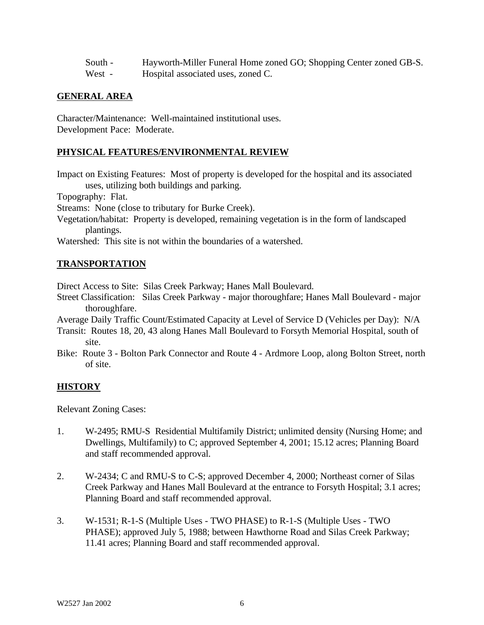| South -       | Hayworth-Miller Funeral Home zoned GO; Shopping Center zoned GB-S.                                                                                                                                                                                                                                                                 |
|---------------|------------------------------------------------------------------------------------------------------------------------------------------------------------------------------------------------------------------------------------------------------------------------------------------------------------------------------------|
| 11 <i>7</i> / | $\mathbf{H}$ $\mathbf{H}$ $\mathbf{H}$ $\mathbf{H}$ $\mathbf{H}$ $\mathbf{H}$ $\mathbf{H}$ $\mathbf{H}$ $\mathbf{H}$ $\mathbf{H}$ $\mathbf{H}$ $\mathbf{H}$ $\mathbf{H}$ $\mathbf{H}$ $\mathbf{H}$ $\mathbf{H}$ $\mathbf{H}$ $\mathbf{H}$ $\mathbf{H}$ $\mathbf{H}$ $\mathbf{H}$ $\mathbf{H}$ $\mathbf{H}$ $\mathbf{H}$ $\mathbf{$ |

West - Hospital associated uses, zoned C.

### **GENERAL AREA**

Character/Maintenance: Well-maintained institutional uses. Development Pace: Moderate.

## **PHYSICAL FEATURES/ENVIRONMENTAL REVIEW**

Impact on Existing Features: Most of property is developed for the hospital and its associated uses, utilizing both buildings and parking.

Topography: Flat.

Streams: None (close to tributary for Burke Creek).

Vegetation/habitat: Property is developed, remaining vegetation is in the form of landscaped plantings.

Watershed: This site is not within the boundaries of a watershed.

### **TRANSPORTATION**

Direct Access to Site: Silas Creek Parkway; Hanes Mall Boulevard.

- Street Classification: Silas Creek Parkway major thoroughfare; Hanes Mall Boulevard major thoroughfare.
- Average Daily Traffic Count/Estimated Capacity at Level of Service D (Vehicles per Day): N/A
- Transit: Routes 18, 20, 43 along Hanes Mall Boulevard to Forsyth Memorial Hospital, south of site.
- Bike: Route 3 Bolton Park Connector and Route 4 Ardmore Loop, along Bolton Street, north of site.

# **HISTORY**

Relevant Zoning Cases:

- 1. W-2495; RMU-S Residential Multifamily District; unlimited density (Nursing Home; and Dwellings, Multifamily) to C; approved September 4, 2001; 15.12 acres; Planning Board and staff recommended approval.
- 2. W-2434; C and RMU-S to C-S; approved December 4, 2000; Northeast corner of Silas Creek Parkway and Hanes Mall Boulevard at the entrance to Forsyth Hospital; 3.1 acres; Planning Board and staff recommended approval.
- 3. W-1531; R-1-S (Multiple Uses TWO PHASE) to R-1-S (Multiple Uses TWO PHASE); approved July 5, 1988; between Hawthorne Road and Silas Creek Parkway; 11.41 acres; Planning Board and staff recommended approval.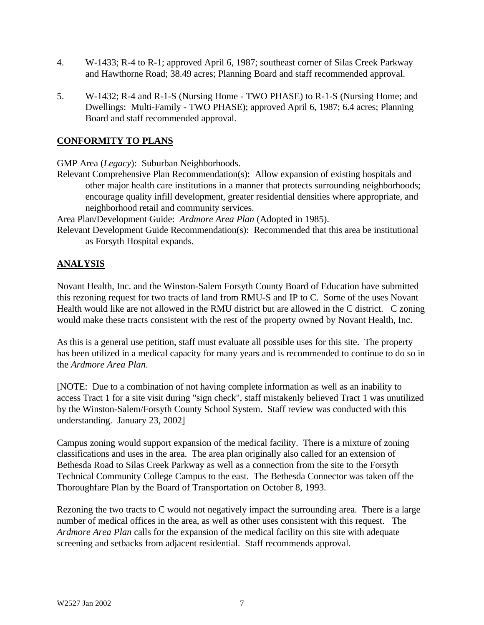- 4. W-1433; R-4 to R-1; approved April 6, 1987; southeast corner of Silas Creek Parkway and Hawthorne Road; 38.49 acres; Planning Board and staff recommended approval.
- 5. W-1432; R-4 and R-1-S (Nursing Home TWO PHASE) to R-1-S (Nursing Home; and Dwellings: Multi-Family - TWO PHASE); approved April 6, 1987; 6.4 acres; Planning Board and staff recommended approval.

## **CONFORMITY TO PLANS**

GMP Area (*Legacy*): Suburban Neighborhoods.

Relevant Comprehensive Plan Recommendation(s): Allow expansion of existing hospitals and other major health care institutions in a manner that protects surrounding neighborhoods; encourage quality infill development, greater residential densities where appropriate, and neighborhood retail and community services.

Area Plan/Development Guide: *Ardmore Area Plan* (Adopted in 1985).

Relevant Development Guide Recommendation(s): Recommended that this area be institutional as Forsyth Hospital expands.

# **ANALYSIS**

Novant Health, Inc. and the Winston-Salem Forsyth County Board of Education have submitted this rezoning request for two tracts of land from RMU-S and IP to C. Some of the uses Novant Health would like are not allowed in the RMU district but are allowed in the C district. C zoning would make these tracts consistent with the rest of the property owned by Novant Health, Inc.

As this is a general use petition, staff must evaluate all possible uses for this site. The property has been utilized in a medical capacity for many years and is recommended to continue to do so in the *Ardmore Area Plan*.

[NOTE: Due to a combination of not having complete information as well as an inability to access Tract 1 for a site visit during "sign check", staff mistakenly believed Tract 1 was unutilized by the Winston-Salem/Forsyth County School System. Staff review was conducted with this understanding. January 23, 2002]

Campus zoning would support expansion of the medical facility. There is a mixture of zoning classifications and uses in the area. The area plan originally also called for an extension of Bethesda Road to Silas Creek Parkway as well as a connection from the site to the Forsyth Technical Community College Campus to the east. The Bethesda Connector was taken off the Thoroughfare Plan by the Board of Transportation on October 8, 1993.

Rezoning the two tracts to C would not negatively impact the surrounding area. There is a large number of medical offices in the area, as well as other uses consistent with this request. The *Ardmore Area Plan* calls for the expansion of the medical facility on this site with adequate screening and setbacks from adjacent residential. Staff recommends approval.